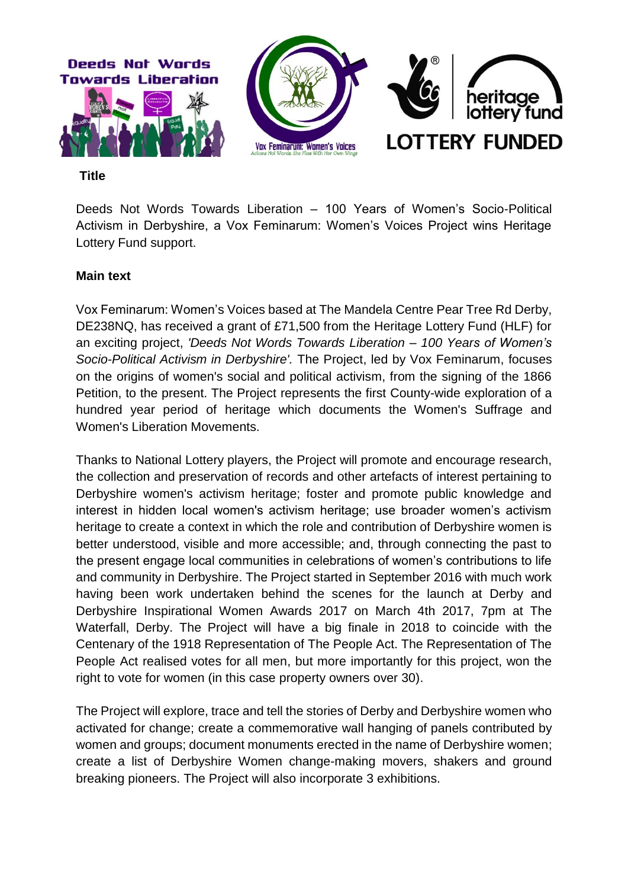

**Title** 

Deeds Not Words Towards Liberation – 100 Years of Women's Socio-Political Activism in Derbyshire, a Vox Feminarum: Women's Voices Project wins Heritage Lottery Fund support.

### **Main text**

Vox Feminarum: Women's Voices based at The Mandela Centre Pear Tree Rd Derby, DE238NQ, has received a grant of £71,500 from the Heritage Lottery Fund (HLF) for an exciting project, *'Deeds Not Words Towards Liberation – 100 Years of Women's Socio-Political Activism in Derbyshire'.* The Project, led by Vox Feminarum, focuses on the origins of women's social and political activism, from the signing of the 1866 Petition, to the present. The Project represents the first County-wide exploration of a hundred year period of heritage which documents the Women's Suffrage and Women's Liberation Movements.

Thanks to National Lottery players, the Project will promote and encourage research, the collection and preservation of records and other artefacts of interest pertaining to Derbyshire women's activism heritage; foster and promote public knowledge and interest in hidden local women's activism heritage; use broader women's activism heritage to create a context in which the role and contribution of Derbyshire women is better understood, visible and more accessible; and, through connecting the past to the present engage local communities in celebrations of women's contributions to life and community in Derbyshire. The Project started in September 2016 with much work having been work undertaken behind the scenes for the launch at Derby and Derbyshire Inspirational Women Awards 2017 on March 4th 2017, 7pm at The Waterfall, Derby. The Project will have a big finale in 2018 to coincide with the Centenary of the 1918 Representation of The People Act. The Representation of The People Act realised votes for all men, but more importantly for this project, won the right to vote for women (in this case property owners over 30).

The Project will explore, trace and tell the stories of Derby and Derbyshire women who activated for change; create a commemorative wall hanging of panels contributed by women and groups; document monuments erected in the name of Derbyshire women; create a list of Derbyshire Women change-making movers, shakers and ground breaking pioneers. The Project will also incorporate 3 exhibitions.